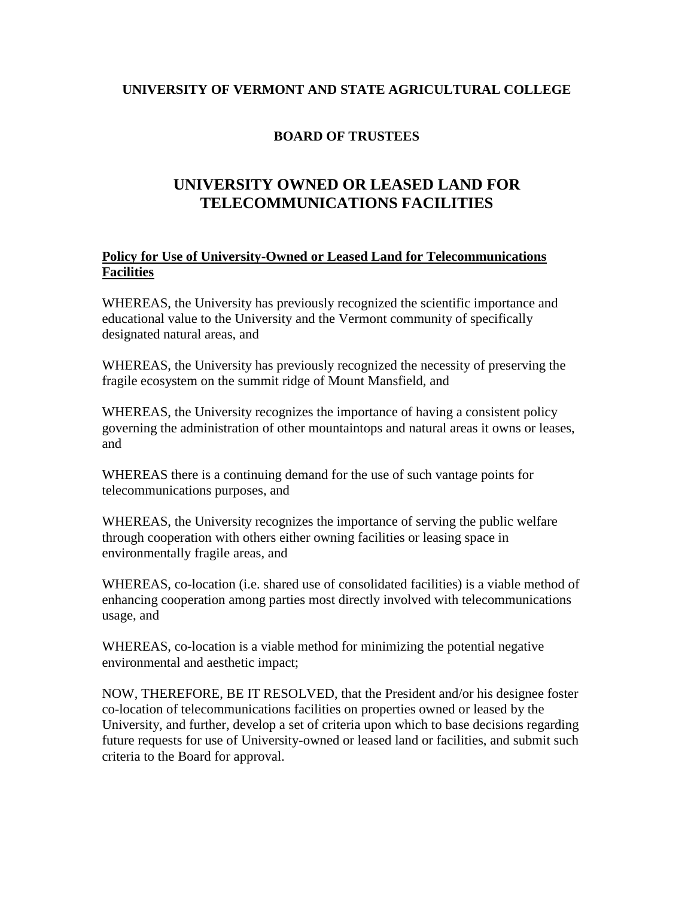## **UNIVERSITY OF VERMONT AND STATE AGRICULTURAL COLLEGE**

## **BOARD OF TRUSTEES**

## **UNIVERSITY OWNED OR LEASED LAND FOR TELECOMMUNICATIONS FACILITIES**

## **Policy for Use of University-Owned or Leased Land for Telecommunications Facilities**

WHEREAS, the University has previously recognized the scientific importance and educational value to the University and the Vermont community of specifically designated natural areas, and

WHEREAS, the University has previously recognized the necessity of preserving the fragile ecosystem on the summit ridge of Mount Mansfield, and

WHEREAS, the University recognizes the importance of having a consistent policy governing the administration of other mountaintops and natural areas it owns or leases, and

WHEREAS there is a continuing demand for the use of such vantage points for telecommunications purposes, and

WHEREAS, the University recognizes the importance of serving the public welfare through cooperation with others either owning facilities or leasing space in environmentally fragile areas, and

WHEREAS, co-location (i.e. shared use of consolidated facilities) is a viable method of enhancing cooperation among parties most directly involved with telecommunications usage, and

WHEREAS, co-location is a viable method for minimizing the potential negative environmental and aesthetic impact;

NOW, THEREFORE, BE IT RESOLVED, that the President and/or his designee foster co-location of telecommunications facilities on properties owned or leased by the University, and further, develop a set of criteria upon which to base decisions regarding future requests for use of University-owned or leased land or facilities, and submit such criteria to the Board for approval.